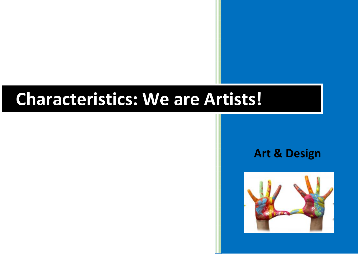## **Characteristics: We are Artists!**

## **Art & Design**